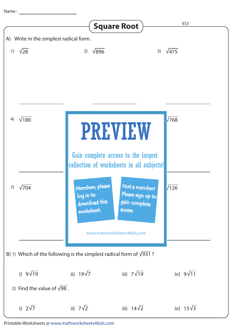Name :